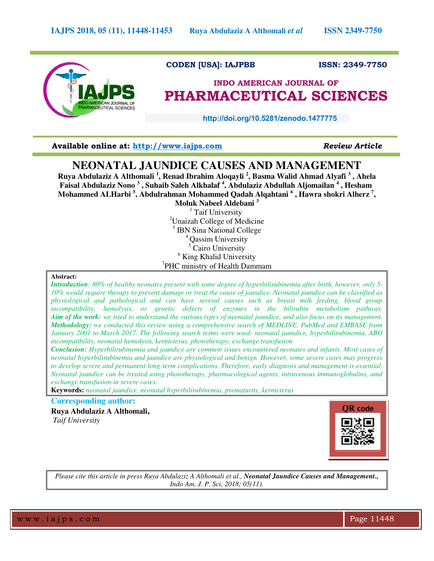

# **CODEN [USA]: IAJPBB ISSN: 2349-7750**

# **INDO AMERICAN JOURNAL OF PHARMACEUTICAL SCIENCES**

 **http://doi.org/10.5281/zenodo.1477775** 

**Available online at: [http://www.iajps.com](http://www.iajps.com/)** *Review Article*

# **NEONATAL JAUNDICE CAUSES AND MANAGEMENT**

**Ruya Abdulaziz A Althomali <sup>1</sup> , Renad Ibrahim Aloqayli <sup>2</sup> , Basma Walid Ahmad Alyafi <sup>3</sup> , Ahela Faisal Abdulaziz Nono <sup>3</sup> , Suhaib Saleh Alkhalaf <sup>4</sup> , Abdulaziz Abdullah Aljomailan <sup>4</sup> , Hesham Mohammed ALHarbi <sup>5</sup> , Abdulrahman Mohammed Qadah Alqahtani <sup>6</sup> , Hawra shokri Alherz <sup>7</sup> ,** 

**Moluk Nabeel Aldebani <sup>3</sup>** <sup>1</sup> Taif University <sup>2</sup>Unaizah College of Medicine <sup>3</sup> IBN Sina National College <sup>4</sup> Qassim University 5 Cairo University <sup>6</sup> King Khalid University <sup>7</sup>PHC ministry of Health Dammam

## **Abstract:**

*Introduction: 80% of healthy neonates present with some degree of hyperbilirubinemia after birth, however, only 5- 10% would require therapy to prevent damage or treat the cause of jaundice. Neonatal jaundice can be classified as physiological and pathological and can have several causes such as breast milk feeding, blood group incompatibility, hemolysis, or genetic defects of enzymes in the bilirubin metabolism pathway. Aim of the work: we tried to understand the various types of neonatal jaundice, and also focus on its management. Methodology: we conducted this review using a comprehensive search of MEDLINE, PubMed and EMBASE from January 2001 to March 2017. The following search terms were used: neonatal jaundice, hyperbilirubinemia, ABO incompatibility, neonatal hemolysis, kernicterus, phototherapy, exchange transfusion* 

*Conclusion: Hyperbilirubinemia and jaundice are common issues encountered neonates and infants. Most cases of neonatal hyperbilirubinemia and jaundice are physiological and benign. However, some severe cases may progress to develop severe and permanent long-term complications. Therefore, early diagnosis and management is essential. Neonatal jaundice can be treated using phototherapy, pharmacological agents, intravenous immunoglobulins, amd exchange transfusion in severe cases.* 

**Keywords:** *neonatal jaundice, neonatal hyperbilirubinemia, prematurity, kernicterus* 

# **Corresponding author:**

**Ruya Abdulaziz A Althomali,**  *Taif University* 



*Please cite this article in press Ruya Abdulaziz A Althomali et al., Neonatal Jaundice Causes and Management., Indo Am. J. P. Sci, 2018; 05(11).*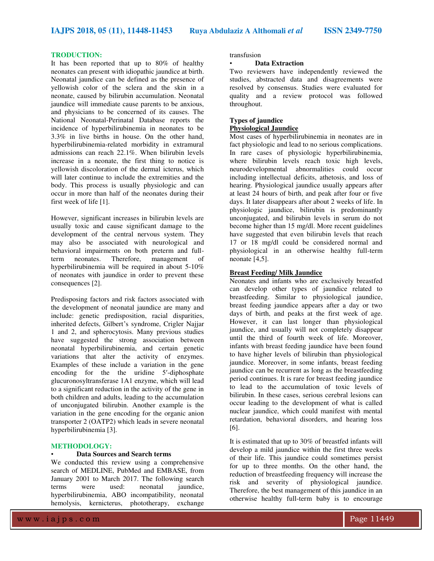**IAJPS 2018, 05 (11), 11448-11453 Ruya Abdulaziz A Althomali** *et al* **ISSN 2349-7750**

## **TRODUCTION:**

It has been reported that up to 80% of healthy neonates can present with idiopathic jaundice at birth. Neonatal jaundice can be defined as the presence of yellowish color of the sclera and the skin in a neonate, caused by bilirubin accumulation. Neonatal jaundice will immediate cause parents to be anxious, and physicians to be concerned of its causes. The National Neonatal-Perinatal Database reports the incidence of hyperbilirubinemia in neonates to be 3.3% in live births in house. On the other hand, hyperbilirubinemia-related morbidity in extramural admissions can reach 22.1%. When bilirubin levels increase in a neonate, the first thing to notice is yellowish discoloration of the dermal icterus, which will later continue to include the extremities and the body. This process is usually physiologic and can occur in more than half of the neonates during their first week of life [1].

However, significant increases in bilirubin levels are usually toxic and cause significant damage to the development of the central nervous system. They may also be associated with neurological and behavioral impairments on both preterm and full-<br>term neonates. Therefore, management of term neonates. Therefore, management of hyperbilirubinemia will be required in about 5-10% of neonates with jaundice in order to prevent these consequences [2].

Predisposing factors and risk factors associated with the development of neonatal jaundice are many and include: genetic predisposition, racial disparities, inherited defects, Gilbert's syndrome, Crigler Najjar 1 and 2, and spherocytosis. Many previous studies have suggested the strong association between neonatal hyperbilirubinemia, and certain genetic variations that alter the activity of enzymes. Examples of these include a variation in the gene encoding for the the uridine 5′-diphosphate glucuronosyltransferase 1A1 enzyme, which will lead to a significant reduction in the activity of the gene in both children and adults, leading to the accumulation of unconjugated bilirubin. Another example is the variation in the gene encoding for the organic anion transporter 2 (OATP2) which leads in severe neonatal hyperbilirubinemia [3].

## **METHODOLOGY:**

#### • **Data Sources and Search terms**

We conducted this review using a comprehensive search of MEDLINE, PubMed and EMBASE, from January 2001 to March 2017. The following search terms were used: neonatal jaundice, hyperbilirubinemia, ABO incompatibility, neonatal hemolysis, kernicterus, phototherapy, exchange

transfusion

## • **Data Extraction**

Two reviewers have independently reviewed the studies, abstracted data and disagreements were resolved by consensus. Studies were evaluated for quality and a review protocol was followed throughout.

## **Types of jaundice Physiological Jaundice**

Most cases of hyperbilirubinemia in neonates are in fact physiologic and lead to no serious complications. In rare cases of physiologic hyperbilirubinemia, where bilirubin levels reach toxic high levels, neurodevelopmental abnormalities could occur including intellectual deficits, athetosis, and loss of hearing. Physiological jaundice usually appears after at least 24 hours of birth, and peak after four or five days. It later disappears after about 2 weeks of life. In physiologic jaundice, bilirubin is predominantly unconjugated, and bilirubin levels in serum do not become higher than 15 mg/dl. More recent guidelines have suggested that even bilirubin levels that reach 17 or 18 mg/dl could be considered normal and physiological in an otherwise healthy full-term neonate [4,5].

## **Breast Feeding/ Milk Jaundice**

Neonates and infants who are exclusively breastfed can develop other types of jaundice related to breastfeeding. Similar to physiological jaundice, breast feeding jaundice appears after a day or two days of birth, and peaks at the first week of age. However, it can last longer than physiological jaundice, and usually will not completely disappear until the third of fourth week of life. Moreover, infants with breast feeding jaundice have been found to have higher levels of bilirubin than physiological jaundice. Moreover, in some infants, breast feeding jaundice can be recurrent as long as the breastfeeding period continues. It is rare for breast feeding jaundice to lead to the accumulation of toxic levels of bilirubin. In these cases, serious cerebral lesions can occur leading to the development of what is called nuclear jaundice, which could manifest with mental retardation, behavioral disorders, and hearing loss [6].

It is estimated that up to 30% of breastfed infants will develop a mild jaundice within the first three weeks of their life. This jaundice could sometimes persist for up to three months. On the other hand, the reduction of breastfeeding frequency will increase the risk and severity of physiological jaundice. Therefore, the best management of this jaundice in an otherwise healthy full-term baby is to encourage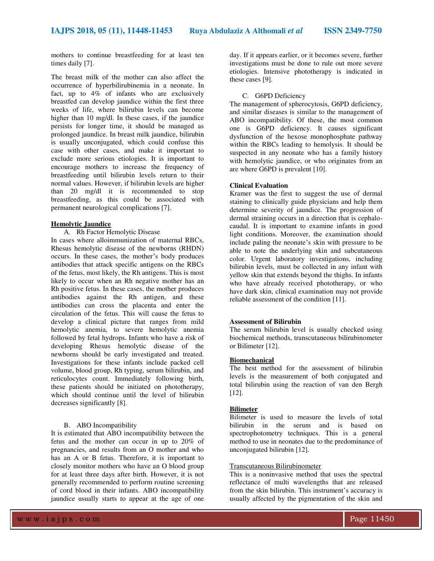mothers to continue breastfeeding for at least ten times daily [7].

The breast milk of the mother can also affect the occurrence of hyperbilirubinemia in a neonate. In fact, up to 4% of infants who are exclusively breastfed can develop jaundice within the first three weeks of life, where bilirubin levels can become higher than 10 mg/dl. In these cases, if the jaundice persists for longer time, it should be managed as prolonged jaundice. In breast milk jaundice, bilirubin is usually unconjugated, which could confuse this case with other cases, and make it important to exclude more serious etiologies. It is important to encourage mothers to increase the frequency of breastfeeding until bilirubin levels return to their normal values. However, if bilirubin levels are higher than 20 mg/dl it is recommended to stop breastfeeding, as this could be associated with permanent neurological complications [7].

## **Hemolytic Jaundice**

A. Rh Factor Hemolytic Disease

In cases where alloimmunization of maternal RBCs, Rhesus hemolytic disease of the newborns (RHDN) occurs. In these cases, the mother's body produces antibodies that attack specific antigens on the RBCs of the fetus, most likely, the Rh antigens. This is most likely to occur when an Rh negative mother has an Rh positive fetus. In these cases, the mother produces antibodies against the Rh antigen, and these antibodies can cross the placenta and enter the circulation of the fetus. This will cause the fetus to develop a clinical picture that ranges from mild hemolytic anemia, to severe hemolytic anemia followed by fetal hydrops. Infants who have a risk of developing Rhesus hemolytic disease of the newborns should be early investigated and treated. Investigations for these infants include packed cell volume, blood group, Rh typing, serum bilirubin, and reticulocytes count. Immediately following birth, these patients should be initiated on phototherapy, which should continue until the level of bilirubin decreases significantly [8].

## B. ABO Incompatibility

It is estimated that ABO incompatibility between the fetus and the mother can occur in up to 20% of pregnancies, and results from an O mother and who has an A or B fetus. Therefore, it is important to closely monitor mothers who have an O blood group for at least three days after birth. However, it is not generally recommended to perform routine screening of cord blood in their infants. ABO incompatibility jaundice usually starts to appear at the age of one day. If it appears earlier, or it becomes severe, further investigations must be done to rule out more severe etiologies. Intensive phototherapy is indicated in these cases [9].

## C. G6PD Deficiency

The management of spherocytosis, G6PD deficiency, and similar diseases is similar to the management of ABO incompatibility. Of these, the most common one is G6PD deficiency. It causes significant dysfunction of the hexose monophosphate pathway within the RBCs leading to hemolysis. It should be suspected in any neonate who has a family history with hemolytic jaundice, or who originates from an are where G6PD is prevalent [10].

## **Clinical Evaluation**

Kramer was the first to suggest the use of dermal staining to clinically guide physicians and help them determine severity of jaundice. The progression of dermal straining occurs in a direction that is cephalocaudal. It is important to examine infants in good light conditions. Moreover, the examination should include paling the neonate's skin with pressure to be able to note the underlying skin and subcutaneous color. Urgent laboratory investigations, including bilirubin levels, must be collected in any infant with yellow skin that extends beyond the thighs. In infants who have already received phototherapy, or who have dark skin, clinical examination may not provide reliable assessment of the condition [11].

#### **Assessment of Bilirubin**

The serum bilirubin level is usually checked using biochemical methods, transcutaneous bilirubinometer or Bilimeter [12].

### **Biomechanical**

The best method for the assessment of bilirubin levels is the measurement of both conjugated and total bilirubin using the reaction of van den Bergh [12].

## **Bilimeter**

Bilimeter is used to measure the levels of total bilirubin in the serum and is based on spectrophotometry techniques. This is a general method to use in neonates due to the predominance of unconjugated bilirubin [12].

### Transcutaneous Bilirubinometer

This is a noninvasive method that uses the spectral reflectance of multi wavelengths that are released from the skin bilirubin. This instrument's accuracy is usually affected by the pigmentation of the skin and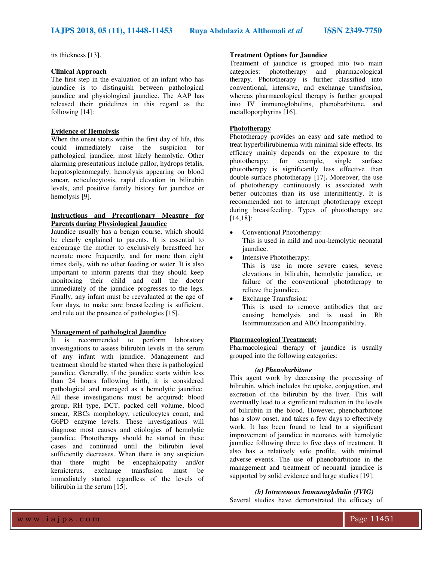its thickness [13].

## **Clinical Approach**

The first step in the evaluation of an infant who has jaundice is to distinguish between pathological jaundice and physiological jaundice. The AAP has released their guidelines in this regard as the following [14]:

## **Evidence of Hemolysis**

When the onset starts within the first day of life, this could immediately raise the suspicion for pathological jaundice, most likely hemolytic. Other alarming presentations include pallor, hydrops fetalis, hepatosplenomegaly, hemolysis appearing on blood smear, reticulocytosis, rapid elevation in bilirubin levels, and positive family history for jaundice or hemolysis [9].

## **Instructions and Precautionary Measure for Parents during Physiological Jaundice**

Jaundice usually has a benign course, which should be clearly explained to parents. It is essential to encourage the mother to exclusively breastfeed her neonate more frequently, and for more than eight times daily, with no other feeding or water. It is also important to inform parents that they should keep monitoring their child and call the doctor immediately of the jaundice progresses to the legs. Finally, any infant must be reevaluated at the age of four days, to make sure breastfeeding is sufficient, and rule out the presence of pathologies [15].

## **Management of pathological Jaundice**

It is recommended to perform laboratory investigations to assess bilirubin levels in the serum of any infant with jaundice. Management and treatment should be started when there is pathological jaundice. Generally, if the jaundice starts within less than 24 hours following birth, it is considered pathological and managed as a hemolytic jaundice. All these investigations must be acquired: blood group, RH type, DCT, packed cell volume, blood smear, RBCs morphology, reticulocytes count, and G6PD enzyme levels. These investigations will diagnose most causes and etiologies of hemolytic jaundice. Phototherapy should be started in these cases and continued until the bilirubin level sufficiently decreases. When there is any suspicion that there might be encephalopathy and/or kernicterus, exchange transfusion must be immediately started regardless of the levels of bilirubin in the serum [15].

## **Treatment Options for Jaundice**

Treatment of jaundice is grouped into two main categories: phototherapy and pharmacological therapy. Phototherapy is further classified into conventional, intensive, and exchange transfusion, whereas pharmacological therapy is further grouped into IV immunoglobulins, phenobarbitone, and metalloporphyrins [16].

## **Phototherapy**

Phototherapy provides an easy and safe method to treat hyperbilirubinemia with minimal side effects. Its efficacy mainly depends on the exposure to the phototherapy; for example, single surface phototherapy is significantly less effective than double surface phototherapy [17]**.** Moreover, the use of phototherapy continuously is associated with better outcomes than its use intermittently. It is recommended not to interrupt phototherapy except during breastfeeding. Types of phototherapy are [14,18]:

- Conventional Phototherapy: This is used in mild and non-hemolytic neonatal jaundice.
- Intensive Phototherapy:

This is use in more severe cases, severe elevations in bilirubin, hemolytic jaundice, or failure of the conventional phototherapy to relieve the jaundice.

 Exchange Transfusion: This is used to remove antibodies that are causing hemolysis and is used in Rh Isoimmunization and ABO Incompatibility.

## **Pharmacological Treatment:**

Pharmacological therapy of jaundice is usually grouped into the following categories:

## *(a) Phenobarbitone*

This agent work by decreasing the processing of bilirubin, which includes the uptake, conjugation, and excretion of the bilirubin by the liver. This will eventually lead to a significant reduction in the levels of bilirubin in the blood. However, phenobarbitone has a slow onset, and takes a few days to effectively work. It has been found to lead to a significant improvement of jaundice in neonates with hemolytic jaundice following three to five days of treatment. It also has a relatively safe profile, with minimal adverse events. The use of phenobarbitone in the management and treatment of neonatal jaundice is supported by solid evidence and large studies [19].

# *(b) Intravenous Immunoglobulin (IVIG)*

Several studies have demonstrated the efficacy of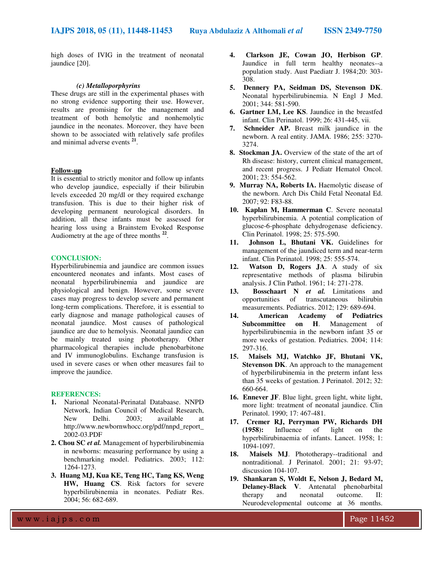high doses of IVIG in the treatment of neonatal jaundice [20].

## *(c) Metalloporphyrins*

These drugs are still in the experimental phases with no strong evidence supporting their use. However, results are promising for the management and treatment of both hemolytic and nonhemolytic jaundice in the neonates. Moreover, they have been shown to be associated with relatively safe profiles and minimal adverse events **<sup>21</sup>** .

## **Follow-up**

It is essential to strictly monitor and follow up infants who develop jaundice, especially if their bilirubin levels exceeded 20 mg/dl or they required exchange transfusion. This is due to their higher risk of developing permanent neurological disorders. In addition, all these infants must be assessed for hearing loss using a Brainstem Evoked Response Audiometry at the age of three months **<sup>22</sup>** .

#### **CONCLUSION:**

Hyperbilirubinemia and jaundice are common issues encountered neonates and infants. Most cases of neonatal hyperbilirubinemia and jaundice are physiological and benign. However, some severe cases may progress to develop severe and permanent long-term complications. Therefore, it is essential to early diagnose and manage pathological causes of neonatal jaundice. Most causes of pathological jaundice are due to hemolysis. Neonatal jaundice can be mainly treated using phototherapy. Other pharmacological therapies include phenobarbitone and IV immunoglobulins. Exchange transfusion is used in severe cases or when other measures fail to improve the jaundice.

#### **REFERENCES:**

- **1.** Narional Neonatal-Perinatal Databaase. NNPD Network, Indian Council of Medical Research, New Delhi. 2003; available at http://www.newbornwhocc.org/pdf/nnpd\_report\_ 2002-03.PDF
- **2. Chou SC** *et al.* Management of hyperbilirubinemia in newborns: measuring performance by using a benchmarking model. Pediatrics. 2003; 112: 1264-1273.
- **3. Huang MJ, Kua KE, Teng HC, Tang KS, Weng HW, Huang CS**. Risk factors for severe hyperbilirubinemia in neonates. Pediatr Res. 2004; 56: 682-689.
- **4. Clarkson JE, Cowan JO, Herbison GP**. Jaundice in full term healthy neonates--a population study. Aust Paediatr J. 1984;20: 303- 308.
- **5. Dennery PA, Seidman DS, Stevenson DK**. Neonatal hyperbilirubinemia. N Engl J Med. 2001; 344: 581-590.
- **6. Gartner LM, Lee KS**. Jaundice in the breastfed infant. Clin Perinatol. 1999; 26: 431-445, vii.
- **7. Schneider AP.** Breast milk jaundice in the newborn. A real entity. JAMA. 1986; 255: 3270- 3274.
- **8. Stockman JA.** Overview of the state of the art of Rh disease: history, current clinical management, and recent progress. J Pediatr Hematol Oncol. 2001; 23: 554-562.
- **9. Murray NA, Roberts IA. Haemolytic disease of** the newborn. Arch Dis Child Fetal Neonatal Ed. 2007; 92: F83-88.
- **10. Kaplan M, Hammerman C**. Severe neonatal hyperbilirubinemia. A potential complication of glucose-6-phosphate dehydrogenase deficiency. Clin Perinatol. 1998; 25: 575-590.
- **11. Johnson L, Bhutani VK.** Guidelines for management of the jaundiced term and near-term infant. Clin Perinatol. 1998; 25: 555-574.
- **12. Watson D, Rogers JA**. A study of six representative methods of plasma bilirubin analysis. J Clin Pathol. 1961; 14: 271-278.
- **13. Bosschaart N** *et al.* Limitations and opportunities of transcutaneous bilirubin measurements. Pediatrics. 2012; 129: 689-694.
- **14. American Academy of Pediatrics Subcommittee on H**. Management of hyperbilirubinemia in the newborn infant 35 or more weeks of gestation. Pediatrics. 2004; 114: 297-316.
- **15. Maisels MJ, Watchko JF, Bhutani VK, Stevenson DK**. An approach to the management of hyperbilirubinemia in the preterm infant less than 35 weeks of gestation. J Perinatol. 2012; 32: 660-664.
- **16. Ennever JF**. Blue light, green light, white light, more light: treatment of neonatal jaundice. Clin Perinatol. 1990; 17: 467-481.
- **17. Cremer RJ, Perryman PW, Richards DH (1958):** Influence of light on the hyperbilirubinaemia of infants. Lancet. 1958; 1: 1094-1097.
- **18. Maisels MJ**. Phototherapy--traditional and nontraditional. J Perinatol. 2001; 21: 93-97; discussion 104-107.
- **19. Shankaran S, Woldt E, Nelson J, Bedard M, Delaney-Black V**. Antenatal phenobarbital therapy and neonatal outcome. II: Neurodevelopmental outcome at 36 months.